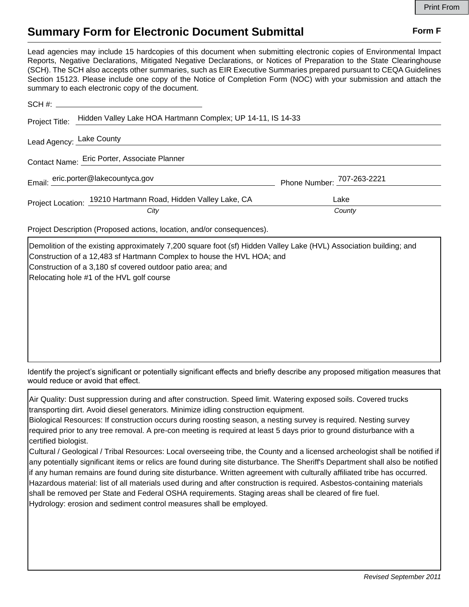## **Summary Form for Electronic Document Submittal Form F Form F**

Lead agencies may include 15 hardcopies of this document when submitting electronic copies of Environmental Impact Reports, Negative Declarations, Mitigated Negative Declarations, or Notices of Preparation to the State Clearinghouse (SCH). The SCH also accepts other summaries, such as EIR Executive Summaries prepared pursuant to CEQA Guidelines Section 15123. Please include one copy of the Notice of Completion Form (NOC) with your submission and attach the summary to each electronic copy of the document.

| Project Title:                               | Hidden Valley Lake HOA Hartmann Complex; UP 14-11, IS 14-33   |                            |
|----------------------------------------------|---------------------------------------------------------------|----------------------------|
| Lead Agency: Lake County                     |                                                               |                            |
| Contact Name: Eric Porter, Associate Planner |                                                               |                            |
|                                              | Email: eric.porter@lakecountyca.gov                           | Phone Number: 707-263-2221 |
|                                              | Project Location: 19210 Hartmann Road, Hidden Valley Lake, CA | Lake                       |
|                                              | City                                                          | County                     |

Project Description (Proposed actions, location, and/or consequences).

Demolition of the existing approximately 7,200 square foot (sf) Hidden Valley Lake (HVL) Association building; and Construction of a 12,483 sf Hartmann Complex to house the HVL HOA; and Construction of a 3,180 sf covered outdoor patio area; and Relocating hole #1 of the HVL golf course

Identify the project's significant or potentially significant effects and briefly describe any proposed mitigation measures that would reduce or avoid that effect.

Air Quality: Dust suppression during and after construction. Speed limit. Watering exposed soils. Covered trucks transporting dirt. Avoid diesel generators. Minimize idling construction equipment.

Biological Resources: If construction occurs during roosting season, a nesting survey is required. Nesting survey required prior to any tree removal. A pre-con meeting is required at least 5 days prior to ground disturbance with a certified biologist.

Cultural / Geological / Tribal Resources: Local overseeing tribe, the County and a licensed archeologist shall be notified if any potentially significant items or relics are found during site disturbance. The Sheriff's Department shall also be notified if any human remains are found during site disturbance. Written agreement with culturally affiliated tribe has occurred. Hazardous material: list of all materials used during and after construction is required. Asbestos-containing materials shall be removed per State and Federal OSHA requirements. Staging areas shall be cleared of fire fuel. Hydrology: erosion and sediment control measures shall be employed.